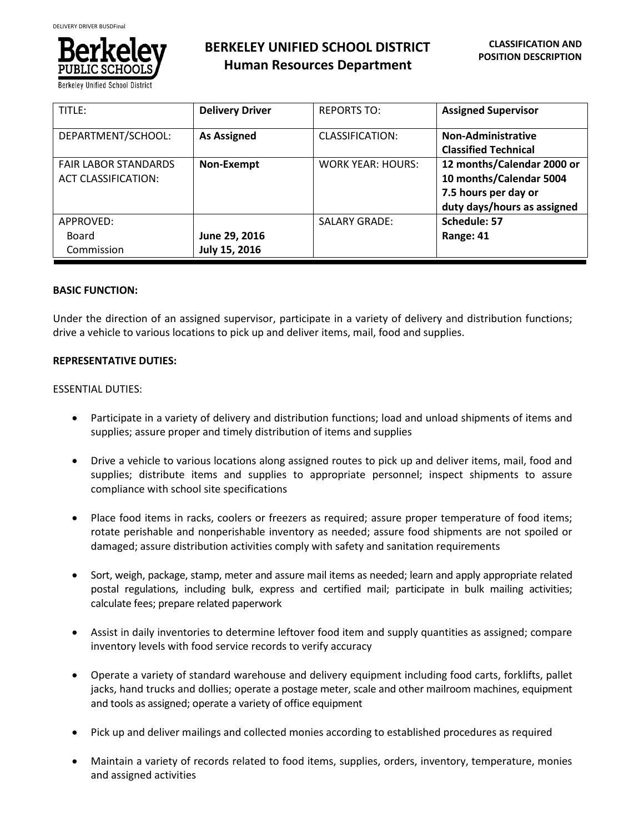

**BERKELEY UNIFIED SCHOOL DISTRICT Human Resources Department**

| TITLE:                                                    | <b>Delivery Driver</b> | <b>REPORTS TO:</b>       | <b>Assigned Supervisor</b>                                                                                   |
|-----------------------------------------------------------|------------------------|--------------------------|--------------------------------------------------------------------------------------------------------------|
| DEPARTMENT/SCHOOL:                                        | <b>As Assigned</b>     | <b>CLASSIFICATION:</b>   | <b>Non-Administrative</b><br><b>Classified Technical</b>                                                     |
| <b>FAIR LABOR STANDARDS</b><br><b>ACT CLASSIFICATION:</b> | Non-Exempt             | <b>WORK YEAR: HOURS:</b> | 12 months/Calendar 2000 or<br>10 months/Calendar 5004<br>7.5 hours per day or<br>duty days/hours as assigned |
| APPROVED:                                                 |                        | <b>SALARY GRADE:</b>     | Schedule: 57                                                                                                 |
| Board                                                     | June 29, 2016          |                          | Range: 41                                                                                                    |
| Commission                                                | July 15, 2016          |                          |                                                                                                              |

#### **BASIC FUNCTION:**

Under the direction of an assigned supervisor, participate in a variety of delivery and distribution functions; drive a vehicle to various locations to pick up and deliver items, mail, food and supplies.

#### **REPRESENTATIVE DUTIES:**

#### ESSENTIAL DUTIES:

- Participate in a variety of delivery and distribution functions; load and unload shipments of items and supplies; assure proper and timely distribution of items and supplies
- Drive a vehicle to various locations along assigned routes to pick up and deliver items, mail, food and supplies; distribute items and supplies to appropriate personnel; inspect shipments to assure compliance with school site specifications
- Place food items in racks, coolers or freezers as required; assure proper temperature of food items; rotate perishable and nonperishable inventory as needed; assure food shipments are not spoiled or damaged; assure distribution activities comply with safety and sanitation requirements
- Sort, weigh, package, stamp, meter and assure mail items as needed; learn and apply appropriate related postal regulations, including bulk, express and certified mail; participate in bulk mailing activities; calculate fees; prepare related paperwork
- Assist in daily inventories to determine leftover food item and supply quantities as assigned; compare inventory levels with food service records to verify accuracy
- Operate a variety of standard warehouse and delivery equipment including food carts, forklifts, pallet jacks, hand trucks and dollies; operate a postage meter, scale and other mailroom machines, equipment and tools as assigned; operate a variety of office equipment
- Pick up and deliver mailings and collected monies according to established procedures as required
- Maintain a variety of records related to food items, supplies, orders, inventory, temperature, monies and assigned activities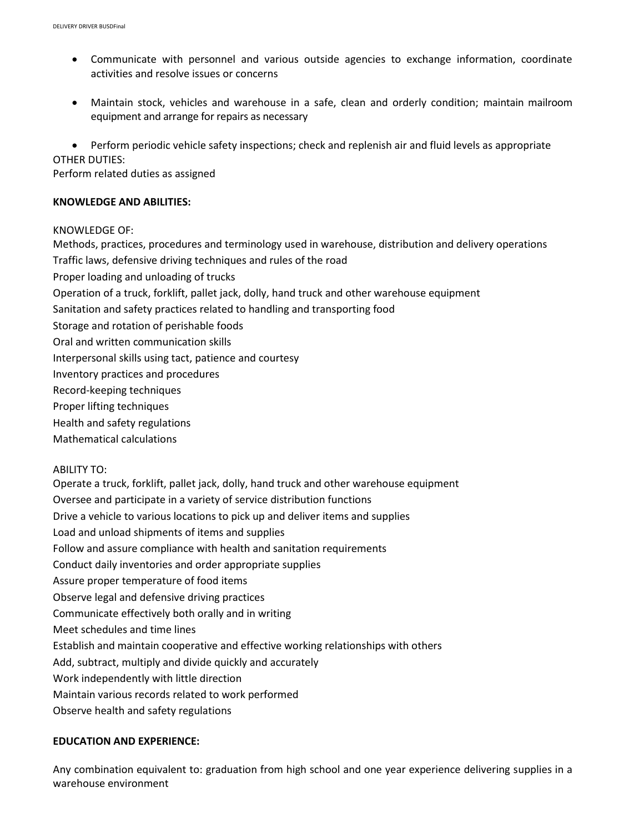- Communicate with personnel and various outside agencies to exchange information, coordinate activities and resolve issues or concerns
- Maintain stock, vehicles and warehouse in a safe, clean and orderly condition; maintain mailroom equipment and arrange for repairs as necessary
- Perform periodic vehicle safety inspections; check and replenish air and fluid levels as appropriate OTHER DUTIES:

Perform related duties as assigned

#### **KNOWLEDGE AND ABILITIES:**

#### KNOWLEDGE OF:

Methods, practices, procedures and terminology used in warehouse, distribution and delivery operations Traffic laws, defensive driving techniques and rules of the road Proper loading and unloading of trucks Operation of a truck, forklift, pallet jack, dolly, hand truck and other warehouse equipment Sanitation and safety practices related to handling and transporting food Storage and rotation of perishable foods Oral and written communication skills Interpersonal skills using tact, patience and courtesy Inventory practices and procedures Record-keeping techniques Proper lifting techniques Health and safety regulations Mathematical calculations ABILITY TO: Operate a truck, forklift, pallet jack, dolly, hand truck and other warehouse equipment Oversee and participate in a variety of service distribution functions

Drive a vehicle to various locations to pick up and deliver items and supplies

Load and unload shipments of items and supplies

- Follow and assure compliance with health and sanitation requirements
- Conduct daily inventories and order appropriate supplies
- Assure proper temperature of food items
- Observe legal and defensive driving practices
- Communicate effectively both orally and in writing
- Meet schedules and time lines
- Establish and maintain cooperative and effective working relationships with others
- Add, subtract, multiply and divide quickly and accurately
- Work independently with little direction
- Maintain various records related to work performed
- Observe health and safety regulations

### **EDUCATION AND EXPERIENCE:**

Any combination equivalent to: graduation from high school and one year experience delivering supplies in a warehouse environment